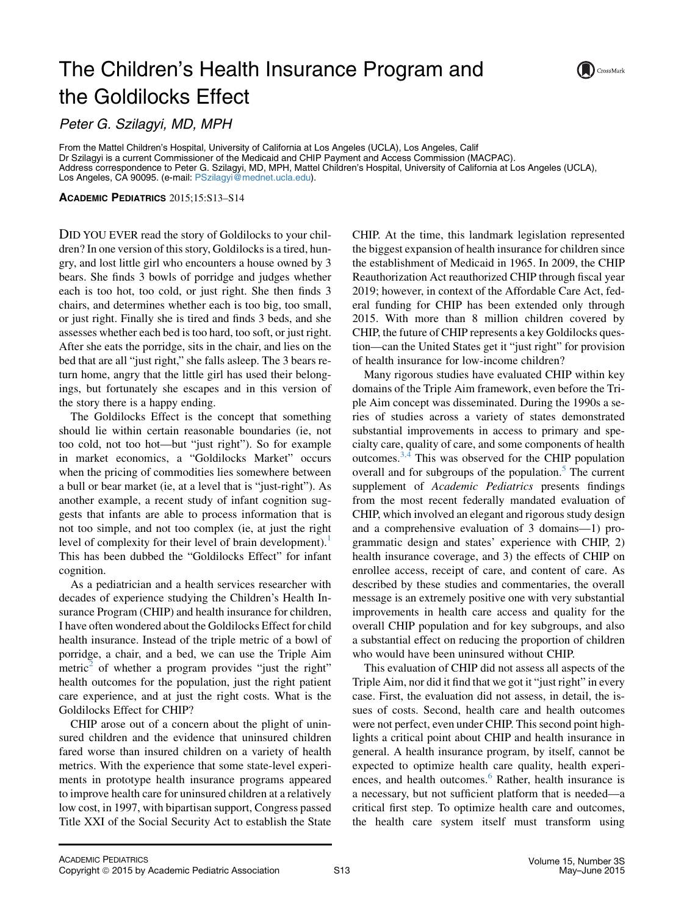## The Children's Health Insurance Program and the Goldilocks Effect



 $\sum_{i=1}^{n}$ 

From the Mattel Children's Hospital, University of California at Los Angeles (UCLA), Los Angeles, Calif Dr Szilagyi is a current Commissioner of the Medicaid and CHIP Payment and Access Commission (MACPAC). Address correspondence to Peter G. Szilagyi, MD, MPH, Mattel Children's Hospital, University of California at Los Angeles (UCLA), Los Angeles, CA 90095. (e-mail: [PSzilagyi@mednet.ucla.edu\)](mailto:PSzilagyi@mednet.ucla.edu).

ACADEMIC PEDIATRICS 2015;15:S13–S14

DID YOU EVER read the story of Goldilocks to your children? In one version of this story, Goldilocks is a tired, hungry, and lost little girl who encounters a house owned by 3 bears. She finds 3 bowls of porridge and judges whether each is too hot, too cold, or just right. She then finds 3 chairs, and determines whether each is too big, too small, or just right. Finally she is tired and finds 3 beds, and she assesses whether each bed is too hard, too soft, or just right. After she eats the porridge, sits in the chair, and lies on the bed that are all "just right," she falls asleep. The 3 bears return home, angry that the little girl has used their belongings, but fortunately she escapes and in this version of the story there is a happy ending.

The Goldilocks Effect is the concept that something should lie within certain reasonable boundaries (ie, not too cold, not too hot—but "just right"). So for example in market economics, a "Goldilocks Market" occurs when the pricing of commodities lies somewhere between a bull or bear market (ie, at a level that is "just-right"). As another example, a recent study of infant cognition suggests that infants are able to process information that is not too simple, and not too complex (ie, at just the right level of complexity for their level of brain development). This has been dubbed the "Goldilocks Effect" for infant cognition.

As a pediatrician and a health services researcher with decades of experience studying the Children's Health Insurance Program (CHIP) and health insurance for children, I have often wondered about the Goldilocks Effect for child health insurance. Instead of the triple metric of a bowl of porridge, a chair, and a bed, we can use the Triple Aim metric<sup>[2](#page-1-0)</sup> of whether a program provides "just the right" health outcomes for the population, just the right patient care experience, and at just the right costs. What is the Goldilocks Effect for CHIP?

CHIP arose out of a concern about the plight of uninsured children and the evidence that uninsured children fared worse than insured children on a variety of health metrics. With the experience that some state-level experiments in prototype health insurance programs appeared to improve health care for uninsured children at a relatively low cost, in 1997, with bipartisan support, Congress passed Title XXI of the Social Security Act to establish the State

CHIP. At the time, this landmark legislation represented the biggest expansion of health insurance for children since the establishment of Medicaid in 1965. In 2009, the CHIP Reauthorization Act reauthorized CHIP through fiscal year 2019; however, in context of the Affordable Care Act, federal funding for CHIP has been extended only through 2015. With more than 8 million children covered by CHIP, the future of CHIP represents a key Goldilocks question—can the United States get it "just right" for provision of health insurance for low-income children?

Many rigorous studies have evaluated CHIP within key domains of the Triple Aim framework, even before the Triple Aim concept was disseminated. During the 1990s a series of studies across a variety of states demonstrated substantial improvements in access to primary and specialty care, quality of care, and some components of health outcomes. $3,4$  This was observed for the CHIP population overall and for subgroups of the population.<sup>[5](#page-1-0)</sup> The current supplement of Academic Pediatrics presents findings from the most recent federally mandated evaluation of CHIP, which involved an elegant and rigorous study design and a comprehensive evaluation of 3 domains—1) programmatic design and states' experience with CHIP, 2) health insurance coverage, and 3) the effects of CHIP on enrollee access, receipt of care, and content of care. As described by these studies and commentaries, the overall message is an extremely positive one with very substantial improvements in health care access and quality for the overall CHIP population and for key subgroups, and also a substantial effect on reducing the proportion of children who would have been uninsured without CHIP.

This evaluation of CHIP did not assess all aspects of the Triple Aim, nor did it find that we got it "just right" in every case. First, the evaluation did not assess, in detail, the issues of costs. Second, health care and health outcomes were not perfect, even under CHIP. This second point highlights a critical point about CHIP and health insurance in general. A health insurance program, by itself, cannot be expected to optimize health care quality, health experi-ences, and health outcomes.<sup>[6](#page-1-0)</sup> Rather, health insurance is a necessary, but not sufficient platform that is needed—a critical first step. To optimize health care and outcomes, the health care system itself must transform using